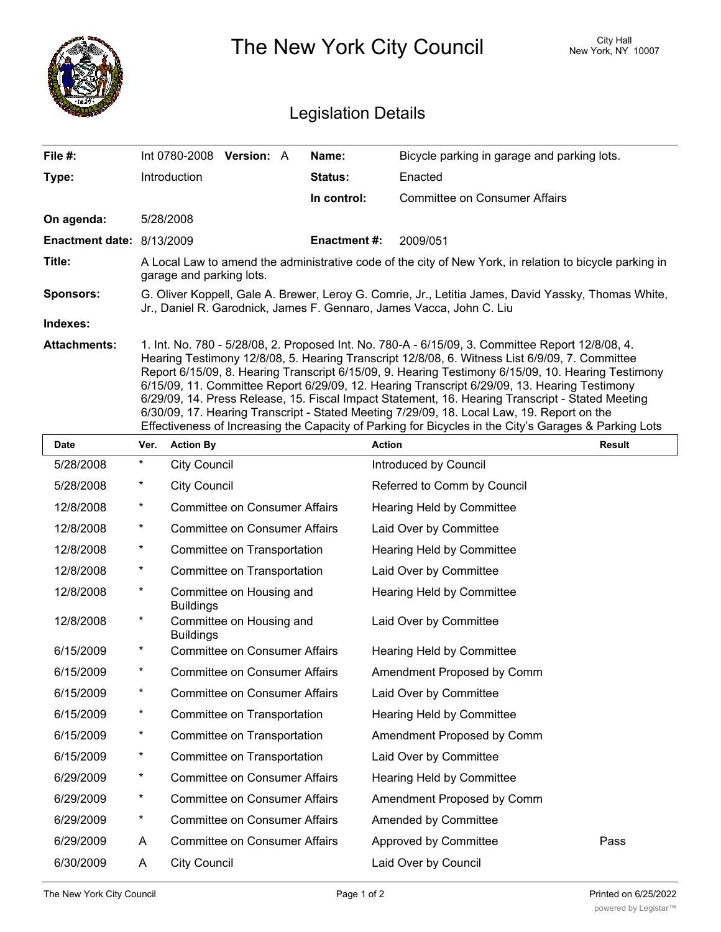|                            |                                                                                                                                                                                                                                                                                                                                                                                                                                                                                                                                                                                                                                                                                                                     |                                                                  | The New York City Council | City Hall<br>New York, NY 10007             |               |  |  |  |
|----------------------------|---------------------------------------------------------------------------------------------------------------------------------------------------------------------------------------------------------------------------------------------------------------------------------------------------------------------------------------------------------------------------------------------------------------------------------------------------------------------------------------------------------------------------------------------------------------------------------------------------------------------------------------------------------------------------------------------------------------------|------------------------------------------------------------------|---------------------------|---------------------------------------------|---------------|--|--|--|
| <b>Legislation Details</b> |                                                                                                                                                                                                                                                                                                                                                                                                                                                                                                                                                                                                                                                                                                                     |                                                                  |                           |                                             |               |  |  |  |
| File #:                    |                                                                                                                                                                                                                                                                                                                                                                                                                                                                                                                                                                                                                                                                                                                     | Int 0780-2008 Version: A                                         | Name:                     | Bicycle parking in garage and parking lots. |               |  |  |  |
| Type:                      |                                                                                                                                                                                                                                                                                                                                                                                                                                                                                                                                                                                                                                                                                                                     | Introduction                                                     | Status:                   | Enacted                                     |               |  |  |  |
|                            |                                                                                                                                                                                                                                                                                                                                                                                                                                                                                                                                                                                                                                                                                                                     |                                                                  | In control:               | <b>Committee on Consumer Affairs</b>        |               |  |  |  |
| On agenda:                 |                                                                                                                                                                                                                                                                                                                                                                                                                                                                                                                                                                                                                                                                                                                     | 5/28/2008                                                        |                           |                                             |               |  |  |  |
| Enactment date: 8/13/2009  |                                                                                                                                                                                                                                                                                                                                                                                                                                                                                                                                                                                                                                                                                                                     |                                                                  | <b>Enactment#:</b>        | 2009/051                                    |               |  |  |  |
| Title:                     | A Local Law to amend the administrative code of the city of New York, in relation to bicycle parking in<br>garage and parking lots.                                                                                                                                                                                                                                                                                                                                                                                                                                                                                                                                                                                 |                                                                  |                           |                                             |               |  |  |  |
| Sponsors:                  | G. Oliver Koppell, Gale A. Brewer, Leroy G. Comrie, Jr., Letitia James, David Yassky, Thomas White,<br>Jr., Daniel R. Garodnick, James F. Gennaro, James Vacca, John C. Liu                                                                                                                                                                                                                                                                                                                                                                                                                                                                                                                                         |                                                                  |                           |                                             |               |  |  |  |
| Indexes:                   |                                                                                                                                                                                                                                                                                                                                                                                                                                                                                                                                                                                                                                                                                                                     |                                                                  |                           |                                             |               |  |  |  |
| <b>Attachments:</b>        | 1. Int. No. 780 - 5/28/08, 2. Proposed Int. No. 780-A - 6/15/09, 3. Committee Report 12/8/08, 4.<br>Hearing Testimony 12/8/08, 5. Hearing Transcript 12/8/08, 6. Witness List 6/9/09, 7. Committee<br>Report 6/15/09, 8. Hearing Transcript 6/15/09, 9. Hearing Testimony 6/15/09, 10. Hearing Testimony<br>6/15/09, 11. Committee Report 6/29/09, 12. Hearing Transcript 6/29/09, 13. Hearing Testimony<br>6/29/09, 14. Press Release, 15. Fiscal Impact Statement, 16. Hearing Transcript - Stated Meeting<br>6/30/09, 17. Hearing Transcript - Stated Meeting 7/29/09, 18. Local Law, 19. Report on the<br>Effectiveness of Increasing the Capacity of Parking for Bicycles in the City's Garages & Parking Lots |                                                                  |                           |                                             |               |  |  |  |
| <b>Date</b>                | Ver.                                                                                                                                                                                                                                                                                                                                                                                                                                                                                                                                                                                                                                                                                                                | <b>Action By</b>                                                 |                           | <b>Action</b>                               | <b>Result</b> |  |  |  |
| 5/28/2008                  |                                                                                                                                                                                                                                                                                                                                                                                                                                                                                                                                                                                                                                                                                                                     | <b>City Council</b>                                              |                           | Introduced by Council                       |               |  |  |  |
| 5/28/2008                  | *                                                                                                                                                                                                                                                                                                                                                                                                                                                                                                                                                                                                                                                                                                                   | <b>City Council</b>                                              |                           | Referred to Comm by Council                 |               |  |  |  |
| 12/8/2008                  | *                                                                                                                                                                                                                                                                                                                                                                                                                                                                                                                                                                                                                                                                                                                   | <b>Committee on Consumer Affairs</b>                             |                           | <b>Hearing Held by Committee</b>            |               |  |  |  |
| 12/8/2008                  | *                                                                                                                                                                                                                                                                                                                                                                                                                                                                                                                                                                                                                                                                                                                   | <b>Committee on Consumer Affairs</b>                             |                           | Laid Over by Committee                      |               |  |  |  |
| 12/8/2008                  | *                                                                                                                                                                                                                                                                                                                                                                                                                                                                                                                                                                                                                                                                                                                   | Committee on Transportation                                      |                           | <b>Hearing Held by Committee</b>            |               |  |  |  |
| 12/8/2008                  | *                                                                                                                                                                                                                                                                                                                                                                                                                                                                                                                                                                                                                                                                                                                   | Committee on Transportation                                      |                           | Laid Over by Committee                      |               |  |  |  |
| 12/8/2008                  | *                                                                                                                                                                                                                                                                                                                                                                                                                                                                                                                                                                                                                                                                                                                   | Committee on Housing and                                         |                           | Hearing Held by Committee                   |               |  |  |  |
| 12/8/2008                  | *                                                                                                                                                                                                                                                                                                                                                                                                                                                                                                                                                                                                                                                                                                                   | <b>Buildings</b><br>Committee on Housing and<br><b>Buildings</b> |                           | Laid Over by Committee                      |               |  |  |  |
| 6/15/2009                  | *                                                                                                                                                                                                                                                                                                                                                                                                                                                                                                                                                                                                                                                                                                                   | <b>Committee on Consumer Affairs</b>                             |                           | Hearing Held by Committee                   |               |  |  |  |
| 6/15/2009                  | *                                                                                                                                                                                                                                                                                                                                                                                                                                                                                                                                                                                                                                                                                                                   | <b>Committee on Consumer Affairs</b>                             |                           | Amendment Proposed by Comm                  |               |  |  |  |
| 6/15/2009                  | *                                                                                                                                                                                                                                                                                                                                                                                                                                                                                                                                                                                                                                                                                                                   | <b>Committee on Consumer Affairs</b>                             |                           | Laid Over by Committee                      |               |  |  |  |
| 6/15/2009                  | *                                                                                                                                                                                                                                                                                                                                                                                                                                                                                                                                                                                                                                                                                                                   | Committee on Transportation                                      |                           | Hearing Held by Committee                   |               |  |  |  |
| 6/15/2009                  | *                                                                                                                                                                                                                                                                                                                                                                                                                                                                                                                                                                                                                                                                                                                   | Committee on Transportation                                      |                           | Amendment Proposed by Comm                  |               |  |  |  |
| 6/15/2009                  | *                                                                                                                                                                                                                                                                                                                                                                                                                                                                                                                                                                                                                                                                                                                   | Committee on Transportation                                      |                           | Laid Over by Committee                      |               |  |  |  |
| 6/29/2009                  | *                                                                                                                                                                                                                                                                                                                                                                                                                                                                                                                                                                                                                                                                                                                   | <b>Committee on Consumer Affairs</b>                             |                           | Hearing Held by Committee                   |               |  |  |  |
| 6/29/2009                  | *                                                                                                                                                                                                                                                                                                                                                                                                                                                                                                                                                                                                                                                                                                                   | <b>Committee on Consumer Affairs</b>                             |                           | Amendment Proposed by Comm                  |               |  |  |  |
| 6/29/2009                  | *                                                                                                                                                                                                                                                                                                                                                                                                                                                                                                                                                                                                                                                                                                                   | <b>Committee on Consumer Affairs</b>                             |                           | Amended by Committee                        |               |  |  |  |
| 6/29/2009                  | A                                                                                                                                                                                                                                                                                                                                                                                                                                                                                                                                                                                                                                                                                                                   | <b>Committee on Consumer Affairs</b>                             |                           | Approved by Committee                       | Pass          |  |  |  |
| 6/30/2009                  | A                                                                                                                                                                                                                                                                                                                                                                                                                                                                                                                                                                                                                                                                                                                   | <b>City Council</b>                                              |                           | Laid Over by Council                        |               |  |  |  |